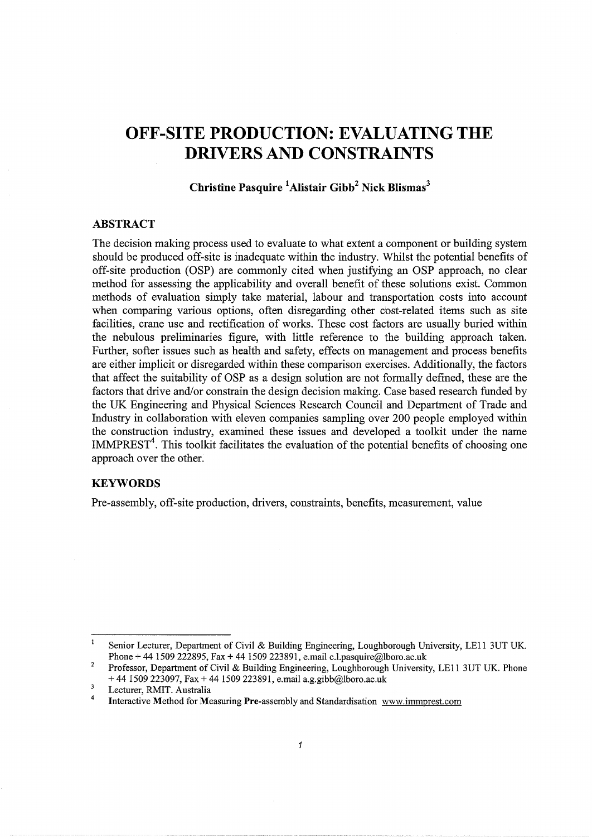# **OFF-SITE PRODUCTION: EVALUATING THE DRIVERS AND CONSTRAINTS**

# **Christine Pas quire 1 Alistair Gibb2 Nick Blismas3**

## **ABSTRACT**

The decision making process used to evaluate to what extent a component or building system should be produced off-site is inadequate within the industry. Whilst the potential benefits of off-site production (OSP) are commonly cited when justifying an OSP approach, no clear method for assessing the applicability and overall benefit of these solutions exist. Common methods of evaluation simply take material, labour and transportation costs into account when comparing various options, often disregarding other cost-related items such as site facilities, crane use and rectification of works. These cost factors are usually buried within the nebulous preliminaries figure, with little reference to the building approach taken. Further, softer issues such as health and safety, effects on management and process benefits are either implicit or disregarded within these comparison exercises. Additionally, the factors that affect the suitability of OSP as a design solution are not formally defined, these are the factors that drive and/or constrain the design decision making. Case based research funded by the UK Engineering and Physical Sciences Research Council and Department of Trade and Industry in collaboration with eleven companies sampling over 200 people employed within the construction industry, examined these issues and developed a toolkit under the name  $IMMPREST<sup>4</sup>$ . This toolkit facilitates the evaluation of the potential benefits of choosing one approach over the other.

## **KEYWORDS**

Pre-assembly, off-site production, drivers, constraints, benefits, measurement, value

 $\mathbf{1}$ Senior Lecturer, Department of Civil & Building Engineering, Loughborough University, LE11 3UT UK. Phone + 44 1509 222895, Fax + 44 1509 223891, e.mail c.l.pasquire@lboro.ac.uk

 $\mathbf 2$ Professor, Department of Civil & Building Engineering, Loughborough University, LE11 3UT UK. Phone  $+ 44$  1509 223097, Fax  $+ 44$  1509 223891, e.mail a.g.gibb@lboro.ac.uk

<sup>3</sup> Lecturer, RMIT. Australia

<sup>4</sup>  Interactive Method for Measuring Pre-assembly and Standardisation www. immprest.com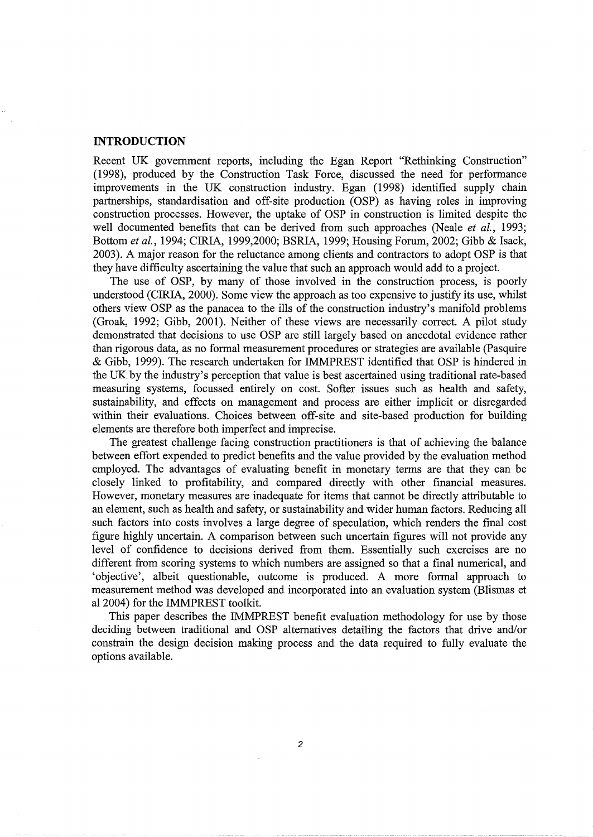#### **INTRODUCTION**

Recent UK government reports, including the Egan Report "Rethinking Construction" (1998), produced by the Construction Task Force, discussed the need for performance improvements in the UK construction industry. Egan (1998) identified supply chain partnerships, standardisation and off-site production (OSP) as having roles in improving construction processes. However, the uptake of OSP in construction is limited despite the well documented benefits that can be derived from such approaches (Neale *et a!.,* 1993; Bottom *eta!.,* 1994; CIRIA, 1999,2000; BSRIA, 1999; Housing Forum, 2002; Gibb & Isack, 2003). A major reason for the reluctance among clients and contractors to adopt OSP is that they have difficulty ascertaining the value that such an approach would add to a project.

The use of OSP, by many of those involved in the construction process, is poorly understood (CIRIA, 2000). Some view the approach as too expensive to justify its use, whilst others view OSP as the panacea to the ills of the construction industry's manifold problems (Groak, 1992; Gibb, 2001). Neither of these views are necessarily correct. A pilot study demonstrated that decisions to use OSP are still largely based on anecdotal evidence rather than rigorous data, as no formal measurement procedures or strategies are available (Pasquire & Gibb, 1999). The research undertaken for IMMPREST identified that OSP is hindered in the UK by the industry's perception that value is best ascertained using traditional rate-based measuring systems, focussed entirely on cost. Softer issues such as health and safety, sustainability, and effects on management and process are either implicit or disregarded within their evaluations. Choices between off-site and site-based production for building elements are therefore both imperfect and imprecise.

The greatest challenge facing construction practitioners is that of achieving the balance between effort expended to predict benefits and the value provided by the evaluation method employed. The advantages of evaluating benefit in monetary terms are that they can be closely linked to profitability, and compared directly with other financial measures. However, monetary measures are inadequate for items that cannot be directly attributable to an element, such as health and safety, or sustainability and wider human factors. Reducing all such factors into costs involves a large degree of speculation, which renders the final cost figure highly uncertain. A comparison between such uncertain figures will not provide any level of confidence to decisions derived from them. Essentially such exercises are no different from scoring systems to which numbers are assigned so that a final numerical, and 'objective', albeit questionable, outcome is produced. A more formal approach to measurement method was developed and incorporated into an evaluation system (Blismas et al2004) for the IMMPREST toolkit.

This paper describes the IMMPREST benefit evaluation methodology for use by those deciding between traditional and OSP alternatives detailing the factors that drive and/or constrain the design decision making process and the data required to fully evaluate the options available.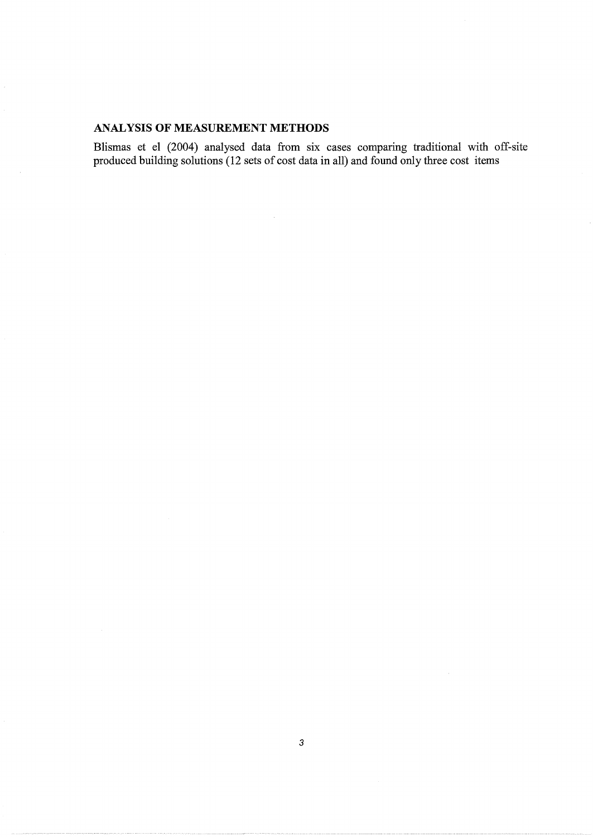# **ANALYSIS OF MEASUREMENT METHODS**

Blismas et el (2004) analysed data from six cases comparing traditional with off-site produced building solutions (12 sets of cost data in all) and found only three cost items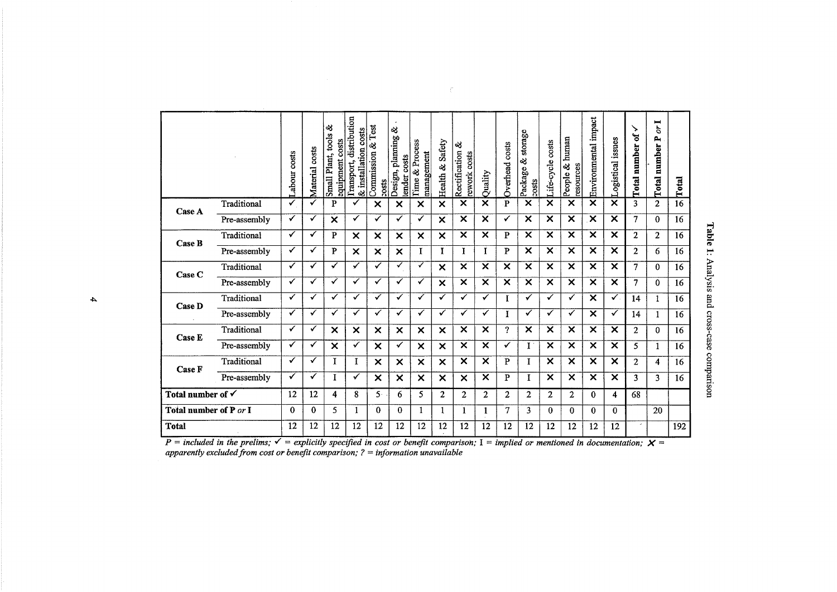|                              |              | costs<br>abour | costs<br>Material | త<br>Plant, tools<br>equipment costs<br>Small <sup>1</sup> | Transport, distribution<br>& installation costs | Commission & Test<br><b>20sts</b> | ళ<br>Design, planning<br>tender costs | Time & Process<br>management | Safety<br>Health &        | ళ<br>Rectification<br>rework costs | Quality                   | Overhead costs      | storage<br>∛<br>Package<br><b>ascc</b> | life-cycle costs          | human<br>ଷ<br>resources<br>People | Environmental impact      | ogistical issues          | ↘<br>ቴ<br><b>Total number</b> | ▬<br>à<br>д<br><b>Total</b> number | Total |
|------------------------------|--------------|----------------|-------------------|------------------------------------------------------------|-------------------------------------------------|-----------------------------------|---------------------------------------|------------------------------|---------------------------|------------------------------------|---------------------------|---------------------|----------------------------------------|---------------------------|-----------------------------------|---------------------------|---------------------------|-------------------------------|------------------------------------|-------|
| Case A                       | Traditional  | ✓              | ✓                 | P                                                          | ✓                                               | $\boldsymbol{\mathsf{x}}$         | X                                     | X                            | ×                         | X                                  | ×                         | P                   | X                                      | ×                         | $\times$                          | $\boldsymbol{\mathsf{x}}$ | ×                         | 3                             | $\mathbf{2}$                       | 16    |
|                              | Pre-assembly | ✓              | ✓                 | $\boldsymbol{\mathsf{x}}$                                  | $\checkmark$                                    | $\checkmark$                      | $\checkmark$                          | $\checkmark$                 | $\boldsymbol{\mathsf{x}}$ | ×                                  | ×                         | ✓                   | $\boldsymbol{\mathsf{x}}$              | $\boldsymbol{\mathsf{x}}$ | X                                 | $\boldsymbol{\times}$     | $\boldsymbol{\mathsf{x}}$ | 7                             | $\Omega$                           | 16    |
| Case B                       | Traditional  | $\checkmark$   | ✓                 | P                                                          | $\boldsymbol{\times}$                           | ×                                 | $\boldsymbol{\mathsf{x}}$             | X                            | $\boldsymbol{\mathsf{x}}$ | X                                  | X                         | P                   | X                                      | X                         | X                                 | $\overline{\mathsf{x}}$   | $\boldsymbol{\times}$     | $\overline{2}$                | $\overline{2}$                     | 16    |
|                              | Pre-assembly | ✓              | $\checkmark$      | P                                                          | $\boldsymbol{\mathsf{x}}$                       | $\boldsymbol{\mathsf{x}}$         | ×                                     | I                            | I                         | I                                  | $\bf{I}$                  | P                   | ×                                      | $\mathsf{x}$              | ×                                 | $\overline{\mathsf{x}}$   | ×                         | $\overline{2}$                | 6                                  | 16    |
| Case C                       | Traditional  | ✓              | ✓                 | ✓                                                          | ✓                                               | ✓                                 | ✓                                     | ✓                            | ×                         | ×                                  | $\boldsymbol{\mathsf{x}}$ | ×                   | ×                                      | ×                         | $\boldsymbol{\mathsf{x}}$         | ×                         | $\boldsymbol{\times}$     | 7                             | 0                                  | 16    |
|                              | Pre-assembly | $\checkmark$   | $\checkmark$      | ✓                                                          | $\checkmark$                                    | ✓                                 | ✓                                     | ✓                            | X                         | ×                                  | ×                         | X                   | ×                                      | ×                         | X                                 | ×                         | $\boldsymbol{\mathsf{x}}$ | 7                             | 0                                  | 16    |
| Case D                       | Traditional  | ✓              | ✓                 | ✓                                                          | ✓                                               | ✓                                 | ✓                                     | ✓                            | ✓                         | ✓                                  | ✓                         | I                   | ✓                                      | ✓                         | ✓                                 | $\times$                  | $\checkmark$              | 14                            | $\mathbf{1}$                       | 16    |
|                              | Pre-assembly | ✓              | $\checkmark$      | ✓                                                          | ✓                                               | ✓                                 | ✓                                     | ✓                            | ✓                         | ✓                                  | ✓                         | I                   | ✓                                      | ✓                         | ✓                                 | $\boldsymbol{\mathsf{x}}$ | ✓                         | 14                            | 1                                  | 16    |
| <b>Case E</b>                | Traditional  | ✓              | ✓                 | $\boldsymbol{\mathsf{x}}$                                  | $\boldsymbol{\mathsf{x}}$                       | $\boldsymbol{\mathsf{x}}$         | $\boldsymbol{\mathsf{x}}$             | $\boldsymbol{\mathsf{x}}$    | X                         | $\boldsymbol{\mathsf{x}}$          | $\boldsymbol{\mathsf{x}}$ | $\boldsymbol{\eta}$ | $\boldsymbol{\mathsf{x}}$              | X                         | $\boldsymbol{\mathsf{x}}$         | $\boldsymbol{\mathsf{x}}$ | $\boldsymbol{\mathsf{x}}$ | $\mathbf{2}$                  | $\Omega$                           | 16    |
|                              | Pre-assembly | $\checkmark$   | ✓                 | $\times$                                                   | ✓                                               | $\times$                          | ✓                                     | $\boldsymbol{\mathsf{x}}$    | $\boldsymbol{\times}$     | ×                                  | ×                         | ✓                   | $\mathbf{I}$ .                         | ×                         | $\times$                          | X                         | $\times$                  | 5                             | 1                                  | 16    |
| Case F                       | Traditional  | ✓              | $\checkmark$      | I                                                          | I                                               | $\boldsymbol{\mathsf{x}}$         | $\boldsymbol{\mathsf{x}}$             | $\boldsymbol{\mathsf{x}}$    | $\boldsymbol{\mathsf{x}}$ | $\overline{\mathsf{x}}$            | $\overline{\mathsf{x}}$   | $\mathbf{P}$        | I                                      | X                         | X                                 | ×                         | $\boldsymbol{\times}$     | $\overline{c}$                | 4                                  | 16    |
|                              | Pre-assembly | ✓              | ✓                 | I                                                          | ✓                                               | $\times$                          | $\boldsymbol{\mathsf{x}}$             | $\boldsymbol{\mathsf{x}}$    | ×                         | ×                                  | X                         | $\mathbf{P}$        | I                                      | $\times$                  | X                                 | X                         | $\boldsymbol{\times}$     | 3                             | 3                                  | 16    |
| Total number of $\checkmark$ |              | 12             | 12                | 4                                                          | 8                                               | 5.                                | 6                                     | 5.                           | $\mathbf{2}$              | $\mathbf{2}$                       | $\overline{2}$            | $\mathbf{2}$        | 2                                      | $\overline{2}$            | $\mathbf{2}$                      | 0                         | 4                         | 68                            |                                    |       |
| Total number of P or I       |              | $\mathbf{0}$   | $\mathbf{0}$      | 5                                                          | 1                                               | $\Omega$                          | $\mathbf{0}$                          | 1                            | 1                         | 1                                  | 1                         | 7                   | 3                                      | $\theta$                  | $\Omega$                          | $\Omega$                  | 0                         |                               | 20                                 |       |
| Total                        |              | 12             | 12                | 12                                                         | 12                                              | 12                                | 12                                    | 12                           | 12                        | 12                                 | 12                        | 12                  | 12                                     | 12                        | 12                                | 12                        | 12                        |                               |                                    | 192   |

 $\in \mathcal{C}^{\times}$ 

ble 1:  $\mathbb{E}$  $\ddot{\mathbf{s}}$ . and cro  $5 - 25$ <sup>~</sup>(1) 0 parison

...,

 $P =$  *included in the prelims;*  $\checkmark$  = *explicitly specified in cost or benefit comparison;* I = *implied or mentioned in documentation;*  $X =$ *apparently excluded from cost or benefit comparison; ?* = *information unavailable*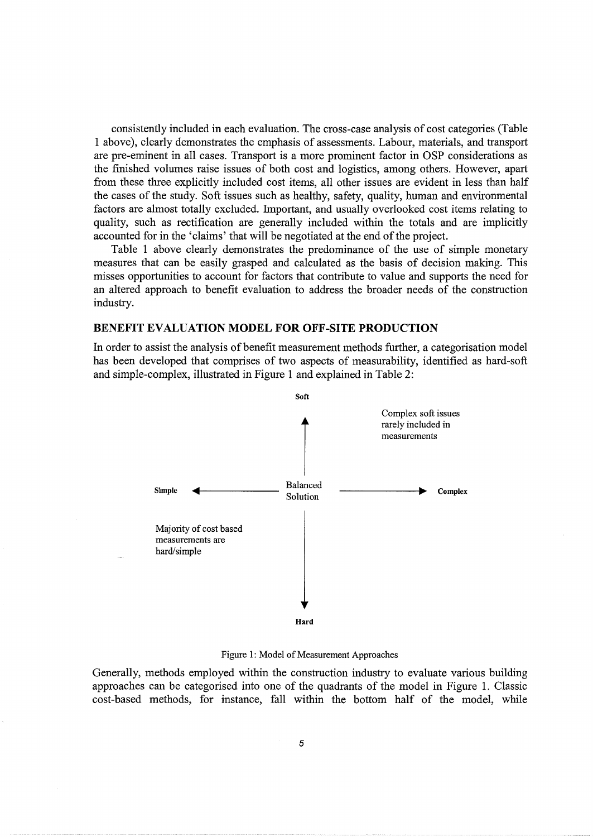consistently included in each evaluation. The cross-case analysis of cost categories (Table 1 above), clearly demonstrates the emphasis of assessments. Labour, materials, and transport are pre-eminent in all cases. Transport is a more prominent factor in OSP considerations as the finished volumes raise issues of both cost and logistics, among others. However, apart from these three explicitly included cost items, all other issues are evident in less than half the cases of the study. Soft issues such as healthy, safety, quality, human and environmental factors are almost totally excluded. Important, and usually overlooked cost items relating to quality, such as rectification are generally included within the totals and are implicitly accounted for in the 'claims' that will be negotiated at the end of the project.

Table 1 above clearly demonstrates the predominance of the use of simple monetary measures that can be easily grasped and calculated as the basis of decision making. This misses opportunities to account for factors that contribute to value and supports the need for an altered approach to benefit evaluation to address the broader needs of the construction industry.

### BENEFIT EVALUATION MODEL FOR OFF-SITE PRODUCTION

In order to assist the analysis of benefit measurement methods further, a categorisation model has been developed that comprises of two aspects of measurability, identified as hard-soft and simple-complex, illustrated in Figure 1 and explained in Table 2:



Figure 1: Model of Measurement Approaches

Generally, methods employed within the construction industry to evaluate various building approaches can be categorised into one of the quadrants of the model in Figure 1. Classic cost-based methods, for instance, fall within the bottom half of the model, while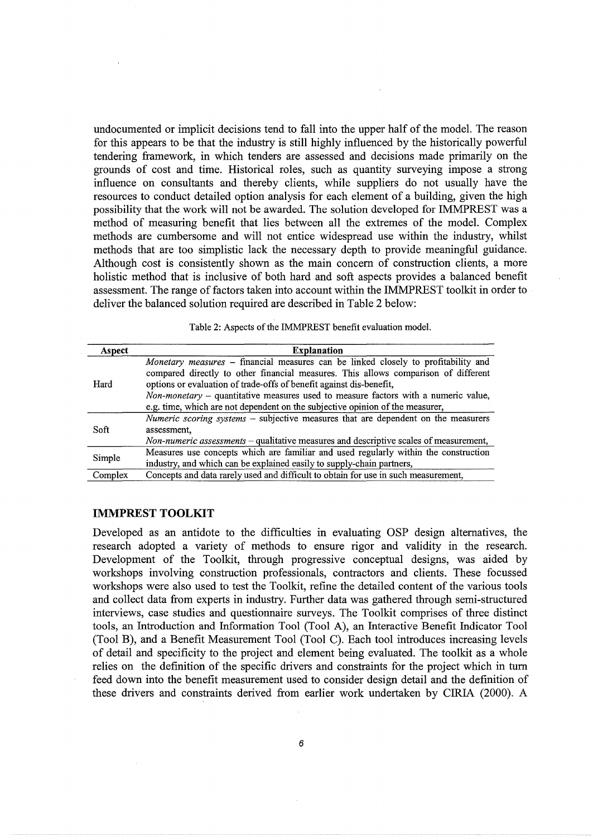undocumented or implicit decisions tend to fall into the upper half of the model. The reason for this appears to be that the industry is still highly influenced by the historically powerful tendering framework, in which tenders are assessed and decisions made primarily on the grounds of cost and time. Historical roles, such as quantity surveying impose a strong influence on consultants and thereby clients, while suppliers do not usually have the resources to conduct detailed option analysis for each element of a building, given the high possibility that the work will not be awarded. The solution developed for IMMPREST was a method of measuring benefit that lies between all the extremes of the model. Complex methods are cumbersome and will not entice widespread use within the industry, whilst methods that are too simplistic lack the necessary depth to provide meaningful guidance. Although cost is consistently shown as the main concern of construction clients, a more holistic method that is inclusive of both hard and soft aspects provides a balanced benefit assessment. The range of factors taken into account within the IMMPREST toolkit in order to deliver the balanced solution required are described in Table 2 below:

| Table 2: Aspects of the IMMPREST benefit evaluation model. |  |
|------------------------------------------------------------|--|
|------------------------------------------------------------|--|

| Aspect  | <b>Explanation</b>                                                                                                                                                      |
|---------|-------------------------------------------------------------------------------------------------------------------------------------------------------------------------|
| Hard    | Monetary measures - financial measures can be linked closely to profitability and<br>compared directly to other financial measures. This allows comparison of different |
|         | options or evaluation of trade-offs of benefit against dis-benefit,                                                                                                     |
|         | <i>Non-monetary</i> – quantitative measures used to measure factors with a numeric value,                                                                               |
|         | e.g. time, which are not dependent on the subjective opinion of the measurer,                                                                                           |
| Soft    | <i>Numeric scoring systems</i> – subjective measures that are dependent on the measurers                                                                                |
|         | assessment.                                                                                                                                                             |
|         | Non-numeric assessments – qualitative measures and descriptive scales of measurement,                                                                                   |
| Simple  | Measures use concepts which are familiar and used regularly within the construction                                                                                     |
|         | industry, and which can be explained easily to supply-chain partners,                                                                                                   |
| Complex | Concepts and data rarely used and difficult to obtain for use in such measurement,                                                                                      |

## **IMMPREST TOOLKIT**

Developed as an antidote to the difficulties in evaluating OSP design alternatives, the research adopted a variety of methods to ensure rigor and validity in the research. Development of the Toolkit, through progressive conceptual designs, was aided by workshops involving construction professionals, contractors and clients. These focussed workshops were also used to test the Toolkit, refine the detailed content of the various tools and collect data from experts in industry. Further data was gathered through semi-structured interviews, case studies and questionnaire surveys. The Toolkit comprises of three distinct tools, an Introduction and Information Tool (Tool A), an Interactive Benefit Indicator Tool (Tool B), and a Benefit Measurement Tool (Tool C). Each tool introduces increasing levels of detail and specificity to the project and element being evaluated. The toolkit as a whole relies on the definition of the specific drivers and constraints for the project which in tum feed down into the benefit measurement used to consider design detail and the definition of these drivers and constraints derived from earlier work undertaken by CIRIA (2000). A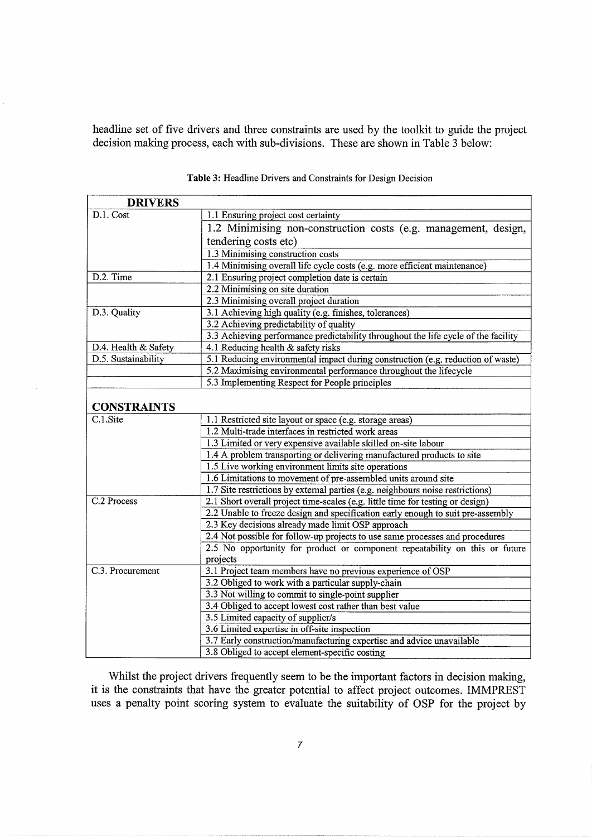headline set of five drivers and three constraints are used by the toolkit to guide the project decision making process, each with sub-divisions. These are shown in Table 3 below:

| <b>DRIVERS</b>       |                                                                                    |  |  |  |  |  |  |
|----------------------|------------------------------------------------------------------------------------|--|--|--|--|--|--|
| D.1. Cost            | 1.1 Ensuring project cost certainty                                                |  |  |  |  |  |  |
|                      | 1.2 Minimising non-construction costs (e.g. management, design,                    |  |  |  |  |  |  |
|                      | tendering costs etc)                                                               |  |  |  |  |  |  |
|                      | 1.3 Minimising construction costs                                                  |  |  |  |  |  |  |
|                      | 1.4 Minimising overall life cycle costs (e.g. more efficient maintenance)          |  |  |  |  |  |  |
| D.2. Time            | 2.1 Ensuring project completion date is certain                                    |  |  |  |  |  |  |
|                      | 2.2 Minimising on site duration                                                    |  |  |  |  |  |  |
|                      | 2.3 Minimising overall project duration                                            |  |  |  |  |  |  |
| D.3. Quality         | 3.1 Achieving high quality (e.g. finishes, tolerances)                             |  |  |  |  |  |  |
|                      | 3.2 Achieving predictability of quality                                            |  |  |  |  |  |  |
|                      | 3.3 Achieving performance predictability throughout the life cycle of the facility |  |  |  |  |  |  |
| D.4. Health & Safety | 4.1 Reducing health & safety risks                                                 |  |  |  |  |  |  |
| D.5. Sustainability  | 5.1 Reducing environmental impact during construction (e.g. reduction of waste)    |  |  |  |  |  |  |
|                      | 5.2 Maximising environmental performance throughout the lifecycle                  |  |  |  |  |  |  |
|                      | 5.3 Implementing Respect for People principles                                     |  |  |  |  |  |  |
|                      |                                                                                    |  |  |  |  |  |  |
| <b>CONSTRAINTS</b>   |                                                                                    |  |  |  |  |  |  |
| C.1.Site             | 1.1 Restricted site layout or space (e.g. storage areas)                           |  |  |  |  |  |  |
|                      | 1.2 Multi-trade interfaces in restricted work areas                                |  |  |  |  |  |  |
|                      | 1.3 Limited or very expensive available skilled on-site labour                     |  |  |  |  |  |  |
|                      | 1.4 A problem transporting or delivering manufactured products to site             |  |  |  |  |  |  |
|                      | 1.5 Live working environment limits site operations                                |  |  |  |  |  |  |
|                      | 1.6 Limitations to movement of pre-assembled units around site                     |  |  |  |  |  |  |
|                      | 1.7 Site restrictions by external parties (e.g. neighbours noise restrictions)     |  |  |  |  |  |  |
| C.2 Process          | 2.1 Short overall project time-scales (e.g. little time for testing or design)     |  |  |  |  |  |  |
|                      | 2.2 Unable to freeze design and specification early enough to suit pre-assembly    |  |  |  |  |  |  |
|                      | 2.3 Key decisions already made limit OSP approach                                  |  |  |  |  |  |  |
|                      | 2.4 Not possible for follow-up projects to use same processes and procedures       |  |  |  |  |  |  |
|                      | 2.5 No opportunity for product or component repeatability on this or future        |  |  |  |  |  |  |
|                      | projects                                                                           |  |  |  |  |  |  |
| C.3. Procurement     | 3.1 Project team members have no previous experience of OSP                        |  |  |  |  |  |  |
|                      | 3.2 Obliged to work with a particular supply-chain                                 |  |  |  |  |  |  |
|                      | 3.3 Not willing to commit to single-point supplier                                 |  |  |  |  |  |  |
|                      | 3.4 Obliged to accept lowest cost rather than best value                           |  |  |  |  |  |  |
|                      | 3.5 Limited capacity of supplier/s                                                 |  |  |  |  |  |  |
|                      | 3.6 Limited expertise in off-site inspection                                       |  |  |  |  |  |  |
|                      | 3.7 Early construction/manufacturing expertise and advice unavailable              |  |  |  |  |  |  |
|                      | 3.8 Obliged to accept element-specific costing                                     |  |  |  |  |  |  |

**Table** 3: Headline Drivers and Constraints for Design Decision

Whilst the project drivers frequently seem to be the important factors in decision making, it is the constraints that have the greater potential to affect project outcomes. IMMPREST uses a penalty point scoring system to evaluate the suitability of OSP for the project by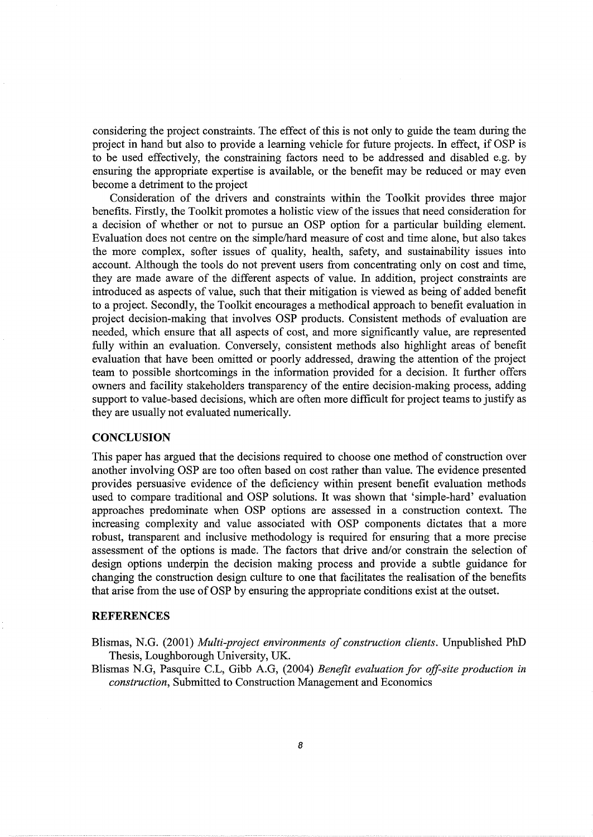considering the project constraints. The effect of this is not only to guide the team during the project in hand but also to provide a learning vehicle for future projects. In effect, if OSP is to be used effectively, the constraining factors need to be addressed and disabled e.g. by ensuring the appropriate expertise is available, or the benefit may be reduced or may even become a detriment to the project

Consideration of the drivers and constraints within the Toolkit provides three major benefits. Firstly, the Toolkit promotes a holistic view of the issues that need consideration for a decision of whether or not to pursue an OSP option for a particular building element. Evaluation does not centre on the simple/hard measure of cost and time alone, but also takes the more complex, softer issues of quality, health, safety, and sustainability issues into account. Although the tools do not prevent users from concentrating only on cost and time, they are made aware of the different aspects of value. In addition, project constraints are introduced as aspects of value, such that their mitigation is viewed as being of added benefit to a project. Secondly, the Toolkit encourages a methodical approach to benefit evaluation in project decision-making that involves OSP products. Consistent methods of evaluation are needed, which ensure that all aspects of cost, and more significantly value, are represented fully within an evaluation. Conversely, consistent methods also highlight areas of benefit evaluation that have been omitted or poorly addressed, drawing the attention of the project team to possible shortcomings in the information provided for a decision. It further offers owners and facility stakeholders transparency of the entire decision-making process, adding support to value-based decisions, which are often more difficult for project teams to justify as they are usually not evaluated numerically.

## **CONCLUSION**

This paper has argued that the decisions required to choose one method of construction over another involving OSP are too often based on cost rather than value. The evidence presented provides persuasive evidence of the deficiency within present benefit evaluation methods used to compare traditional and OSP solutions. It was shown that 'simple-hard' evaluation approaches predominate when OSP options are assessed in a construction context. The increasing complexity and value associated with OSP components dictates that a more robust, transparent and inclusive methodology is required for ensuring that a more precise assessment of the options is made. The factors that drive and/or constrain the selection of design options underpin the decision making process and provide a subtle guidance for changing the construction design culture to one that facilitates the realisation of the benefits that arise from the use of OSP by ensuring the appropriate conditions exist at the outset.

#### **REFERENCES**

Blismas, N.G. (2001) *Multi-project environments of construction clients.* Unpublished PhD Thesis, Loughborough University, UK.

Blismas N.G, Pasquire C.L, Gibb A.G, (2004) *Benefit evaluation for off-site production in construction,* Submitted to Construction Management and Economics